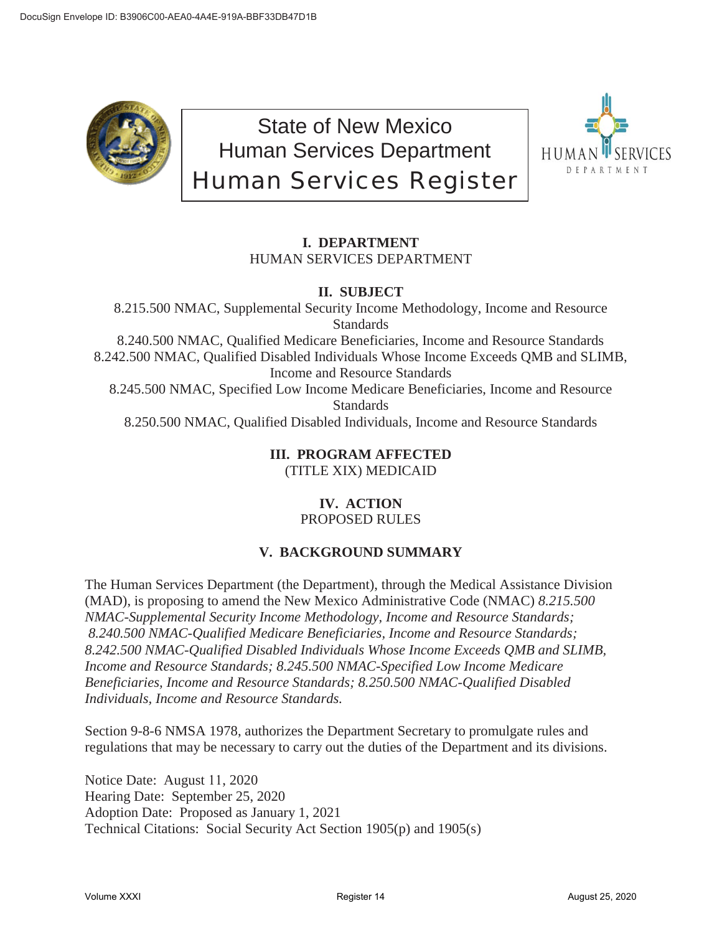

State of New Mexico Human Services Department Human Services Register



# **I. DEPARTMENT** HUMAN SERVICES DEPARTMENT

# **II. SUBJECT**

8.215.500 NMAC, Supplemental Security Income Methodology, Income and Resource Standards 8.240.500 NMAC, Qualified Medicare Beneficiaries, Income and Resource Standards 8.242.500 NMAC, Qualified Disabled Individuals Whose Income Exceeds QMB and SLIMB, Income and Resource Standards 8.245.500 NMAC, Specified Low Income Medicare Beneficiaries, Income and Resource **Standards** 8.250.500 NMAC, Qualified Disabled Individuals, Income and Resource Standards

### **III. PROGRAM AFFECTED** (TITLE XIX) MEDICAID

# **IV. ACTION** PROPOSED RULES

# **V. BACKGROUND SUMMARY**

The Human Services Department (the Department), through the Medical Assistance Division (MAD), is proposing to amend the New Mexico Administrative Code (NMAC) *8.215.500 NMAC-Supplemental Security Income Methodology, Income and Resource Standards; 8.240.500 NMAC-Qualified Medicare Beneficiaries, Income and Resource Standards; 8.242.500 NMAC-Qualified Disabled Individuals Whose Income Exceeds QMB and SLIMB, Income and Resource Standards; 8.245.500 NMAC-Specified Low Income Medicare Beneficiaries, Income and Resource Standards; 8.250.500 NMAC-Qualified Disabled Individuals, Income and Resource Standards.*

Section 9-8-6 NMSA 1978, authorizes the Department Secretary to promulgate rules and regulations that may be necessary to carry out the duties of the Department and its divisions.

Notice Date: August 11, 2020 Hearing Date: September 25, 2020 Adoption Date: Proposed as January 1, 2021 Technical Citations: Social Security Act Section 1905(p) and 1905(s)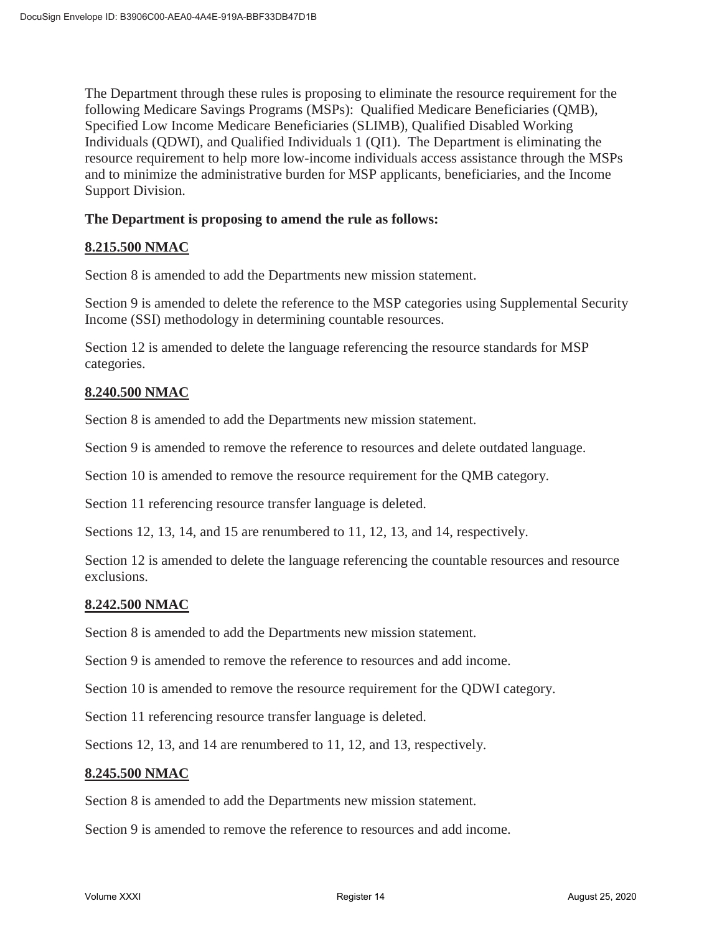The Department through these rules is proposing to eliminate the resource requirement for the following Medicare Savings Programs (MSPs): Qualified Medicare Beneficiaries (QMB), Specified Low Income Medicare Beneficiaries (SLIMB), Qualified Disabled Working Individuals (QDWI), and Qualified Individuals 1 (QI1). The Department is eliminating the resource requirement to help more low-income individuals access assistance through the MSPs and to minimize the administrative burden for MSP applicants, beneficiaries, and the Income Support Division.

### **The Department is proposing to amend the rule as follows:**

#### **8.215.500 NMAC**

Section 8 is amended to add the Departments new mission statement.

Section 9 is amended to delete the reference to the MSP categories using Supplemental Security Income (SSI) methodology in determining countable resources.

Section 12 is amended to delete the language referencing the resource standards for MSP categories.

## **8.240.500 NMAC**

Section 8 is amended to add the Departments new mission statement.

Section 9 is amended to remove the reference to resources and delete outdated language.

Section 10 is amended to remove the resource requirement for the QMB category.

Section 11 referencing resource transfer language is deleted.

Sections 12, 13, 14, and 15 are renumbered to 11, 12, 13, and 14, respectively.

Section 12 is amended to delete the language referencing the countable resources and resource exclusions.

#### **8.242.500 NMAC**

Section 8 is amended to add the Departments new mission statement.

Section 9 is amended to remove the reference to resources and add income.

Section 10 is amended to remove the resource requirement for the QDWI category.

Section 11 referencing resource transfer language is deleted.

Sections 12, 13, and 14 are renumbered to 11, 12, and 13, respectively.

#### **8.245.500 NMAC**

Section 8 is amended to add the Departments new mission statement.

Section 9 is amended to remove the reference to resources and add income.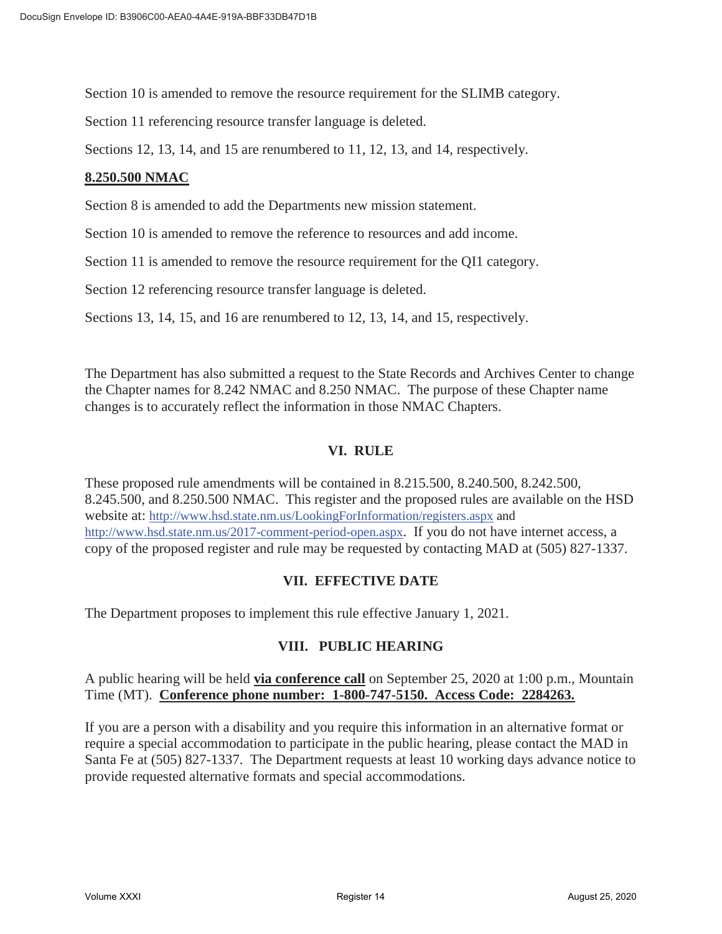Section 10 is amended to remove the resource requirement for the SLIMB category.

Section 11 referencing resource transfer language is deleted.

Sections 12, 13, 14, and 15 are renumbered to 11, 12, 13, and 14, respectively.

#### **8.250.500 NMAC**

Section 8 is amended to add the Departments new mission statement.

Section 10 is amended to remove the reference to resources and add income.

Section 11 is amended to remove the resource requirement for the QI1 category.

Section 12 referencing resource transfer language is deleted.

Sections 13, 14, 15, and 16 are renumbered to 12, 13, 14, and 15, respectively.

The Department has also submitted a request to the State Records and Archives Center to change the Chapter names for 8.242 NMAC and 8.250 NMAC. The purpose of these Chapter name changes is to accurately reflect the information in those NMAC Chapters.

## **VI. RULE**

These proposed rule amendments will be contained in 8.215.500, 8.240.500, 8.242.500, 8.245.500, and 8.250.500 NMAC. This register and the proposed rules are available on the HSD website at: http://www.hsd.state.nm.us/LookingForInformation/registers.aspx and http://www.hsd.state.nm.us/2017-comment-period-open.aspx. If you do not have internet access, a copy of the proposed register and rule may be requested by contacting MAD at (505) 827-1337.

#### **VII. EFFECTIVE DATE**

The Department proposes to implement this rule effective January 1, 2021.

# **VIII. PUBLIC HEARING**

A public hearing will be held **via conference call** on September 25, 2020 at 1:00 p.m., Mountain Time (MT). **Conference phone number: 1-800-747-5150. Access Code: 2284263.**

If you are a person with a disability and you require this information in an alternative format or require a special accommodation to participate in the public hearing, please contact the MAD in Santa Fe at (505) 827-1337. The Department requests at least 10 working days advance notice to provide requested alternative formats and special accommodations.